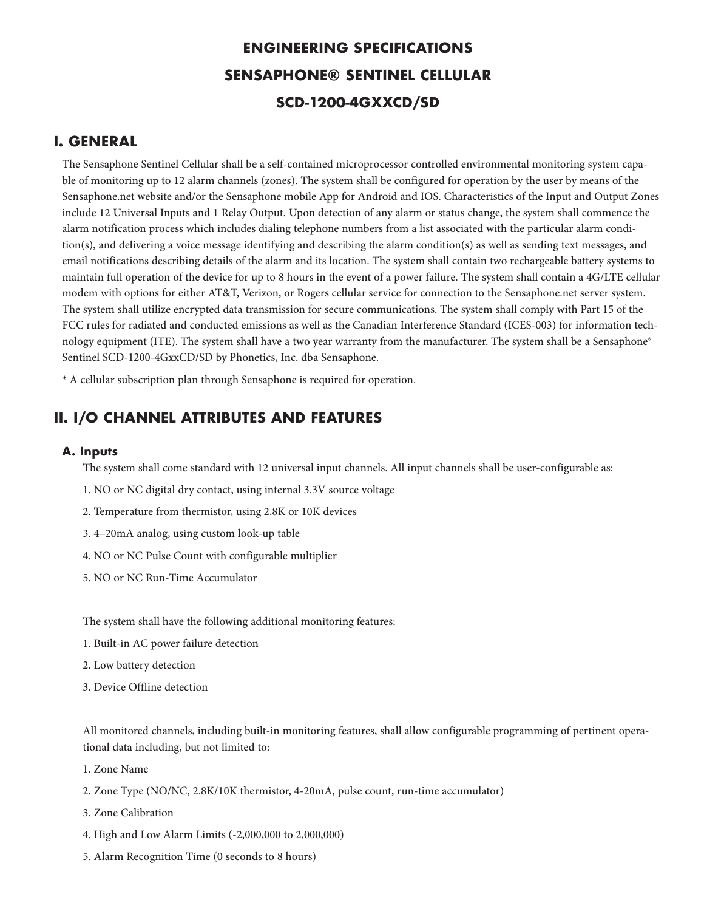# **ENGINEERING SPECIFICATIONS SENSAPHONE® SENTINEL CELLULAR SCD-1200-4GXXCD/SD**

### **I. GENERAL**

The Sensaphone Sentinel Cellular shall be a self-contained microprocessor controlled environmental monitoring system capable of monitoring up to 12 alarm channels (zones). The system shall be configured for operation by the user by means of the Sensaphone.net website and/or the Sensaphone mobile App for Android and IOS. Characteristics of the Input and Output Zones include 12 Universal Inputs and 1 Relay Output. Upon detection of any alarm or status change, the system shall commence the alarm notification process which includes dialing telephone numbers from a list associated with the particular alarm condition(s), and delivering a voice message identifying and describing the alarm condition(s) as well as sending text messages, and email notifications describing details of the alarm and its location. The system shall contain two rechargeable battery systems to maintain full operation of the device for up to 8 hours in the event of a power failure. The system shall contain a 4G/LTE cellular modem with options for either AT&T, Verizon, or Rogers cellular service for connection to the Sensaphone.net server system. The system shall utilize encrypted data transmission for secure communications. The system shall comply with Part 15 of the FCC rules for radiated and conducted emissions as well as the Canadian Interference Standard (ICES-003) for information technology equipment (ITE). The system shall have a two year warranty from the manufacturer. The system shall be a Sensaphone® Sentinel SCD-1200-4GxxCD/SD by Phonetics, Inc. dba Sensaphone.

\* A cellular subscription plan through Sensaphone is required for operation.

## **II. I/O CHANNEL ATTRIBUTES AND FEATURES**

#### **A. Inputs**

The system shall come standard with 12 universal input channels. All input channels shall be user-configurable as:

1. NO or NC digital dry contact, using internal 3.3V source voltage

2. Temperature from thermistor, using 2.8K or 10K devices

- 3. 4–20mA analog, using custom look-up table
- 4. NO or NC Pulse Count with configurable multiplier
- 5. NO or NC Run-Time Accumulator

The system shall have the following additional monitoring features:

- 1. Built-in AC power failure detection
- 2. Low battery detection
- 3. Device Offline detection

All monitored channels, including built-in monitoring features, shall allow configurable programming of pertinent operational data including, but not limited to:

- 1. Zone Name
- 2. Zone Type (NO/NC, 2.8K/10K thermistor, 4-20mA, pulse count, run-time accumulator)
- 3. Zone Calibration
- 4. High and Low Alarm Limits (-2,000,000 to 2,000,000)
- 5. Alarm Recognition Time (0 seconds to 8 hours)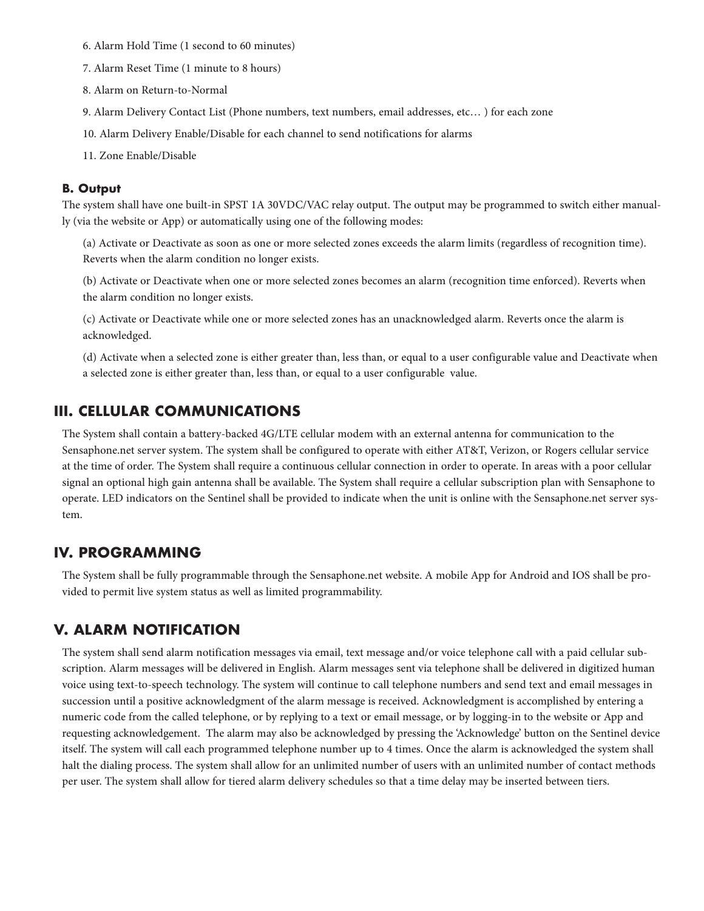- 6. Alarm Hold Time (1 second to 60 minutes)
- 7. Alarm Reset Time (1 minute to 8 hours)
- 8. Alarm on Return-to-Normal
- 9. Alarm Delivery Contact List (Phone numbers, text numbers, email addresses, etc… ) for each zone
- 10. Alarm Delivery Enable/Disable for each channel to send notifications for alarms
- 11. Zone Enable/Disable

#### **B. Output**

The system shall have one built-in SPST 1A 30VDC/VAC relay output. The output may be programmed to switch either manually (via the website or App) or automatically using one of the following modes:

(a) Activate or Deactivate as soon as one or more selected zones exceeds the alarm limits (regardless of recognition time). Reverts when the alarm condition no longer exists.

(b) Activate or Deactivate when one or more selected zones becomes an alarm (recognition time enforced). Reverts when the alarm condition no longer exists.

(c) Activate or Deactivate while one or more selected zones has an unacknowledged alarm. Reverts once the alarm is acknowledged.

(d) Activate when a selected zone is either greater than, less than, or equal to a user configurable value and Deactivate when a selected zone is either greater than, less than, or equal to a user configurable value.

### **III. CELLULAR COMMUNICATIONS**

The System shall contain a battery-backed 4G/LTE cellular modem with an external antenna for communication to the Sensaphone.net server system. The system shall be configured to operate with either AT&T, Verizon, or Rogers cellular service at the time of order. The System shall require a continuous cellular connection in order to operate. In areas with a poor cellular signal an optional high gain antenna shall be available. The System shall require a cellular subscription plan with Sensaphone to operate. LED indicators on the Sentinel shall be provided to indicate when the unit is online with the Sensaphone.net server system.

### **IV. PROGRAMMING**

The System shall be fully programmable through the Sensaphone.net website. A mobile App for Android and IOS shall be provided to permit live system status as well as limited programmability.

### **V. ALARM NOTIFICATION**

The system shall send alarm notification messages via email, text message and/or voice telephone call with a paid cellular subscription. Alarm messages will be delivered in English. Alarm messages sent via telephone shall be delivered in digitized human voice using text-to-speech technology. The system will continue to call telephone numbers and send text and email messages in succession until a positive acknowledgment of the alarm message is received. Acknowledgment is accomplished by entering a numeric code from the called telephone, or by replying to a text or email message, or by logging-in to the website or App and requesting acknowledgement. The alarm may also be acknowledged by pressing the 'Acknowledge' button on the Sentinel device itself. The system will call each programmed telephone number up to 4 times. Once the alarm is acknowledged the system shall halt the dialing process. The system shall allow for an unlimited number of users with an unlimited number of contact methods per user. The system shall allow for tiered alarm delivery schedules so that a time delay may be inserted between tiers.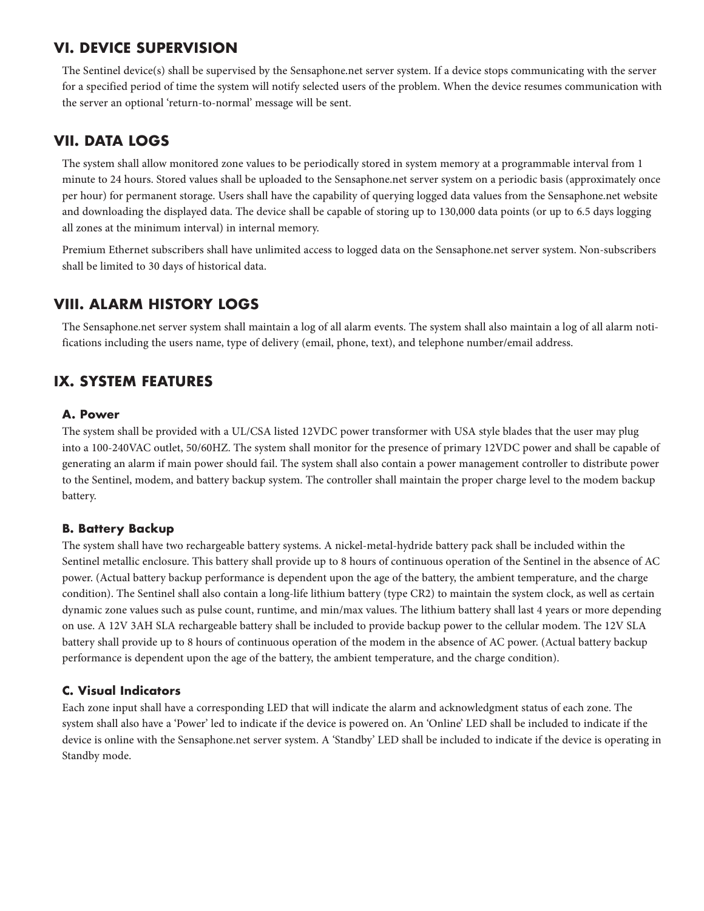# **VI. DEVICE SUPERVISION**

The Sentinel device(s) shall be supervised by the Sensaphone.net server system. If a device stops communicating with the server for a specified period of time the system will notify selected users of the problem. When the device resumes communication with the server an optional 'return-to-normal' message will be sent.

# **VII. DATA LOGS**

The system shall allow monitored zone values to be periodically stored in system memory at a programmable interval from 1 minute to 24 hours. Stored values shall be uploaded to the Sensaphone.net server system on a periodic basis (approximately once per hour) for permanent storage. Users shall have the capability of querying logged data values from the Sensaphone.net website and downloading the displayed data. The device shall be capable of storing up to 130,000 data points (or up to 6.5 days logging all zones at the minimum interval) in internal memory.

Premium Ethernet subscribers shall have unlimited access to logged data on the Sensaphone.net server system. Non-subscribers shall be limited to 30 days of historical data.

# **VIII. ALARM HISTORY LOGS**

The Sensaphone.net server system shall maintain a log of all alarm events. The system shall also maintain a log of all alarm notifications including the users name, type of delivery (email, phone, text), and telephone number/email address.

# **IX. SYSTEM FEATURES**

### **A. Power**

The system shall be provided with a UL/CSA listed 12VDC power transformer with USA style blades that the user may plug into a 100-240VAC outlet, 50/60HZ. The system shall monitor for the presence of primary 12VDC power and shall be capable of generating an alarm if main power should fail. The system shall also contain a power management controller to distribute power to the Sentinel, modem, and battery backup system. The controller shall maintain the proper charge level to the modem backup battery.

### **B. Battery Backup**

The system shall have two rechargeable battery systems. A nickel-metal-hydride battery pack shall be included within the Sentinel metallic enclosure. This battery shall provide up to 8 hours of continuous operation of the Sentinel in the absence of AC power. (Actual battery backup performance is dependent upon the age of the battery, the ambient temperature, and the charge condition). The Sentinel shall also contain a long-life lithium battery (type CR2) to maintain the system clock, as well as certain dynamic zone values such as pulse count, runtime, and min/max values. The lithium battery shall last 4 years or more depending on use. A 12V 3AH SLA rechargeable battery shall be included to provide backup power to the cellular modem. The 12V SLA battery shall provide up to 8 hours of continuous operation of the modem in the absence of AC power. (Actual battery backup performance is dependent upon the age of the battery, the ambient temperature, and the charge condition).

### **C. Visual Indicators**

Each zone input shall have a corresponding LED that will indicate the alarm and acknowledgment status of each zone. The system shall also have a 'Power' led to indicate if the device is powered on. An 'Online' LED shall be included to indicate if the device is online with the Sensaphone.net server system. A 'Standby' LED shall be included to indicate if the device is operating in Standby mode.